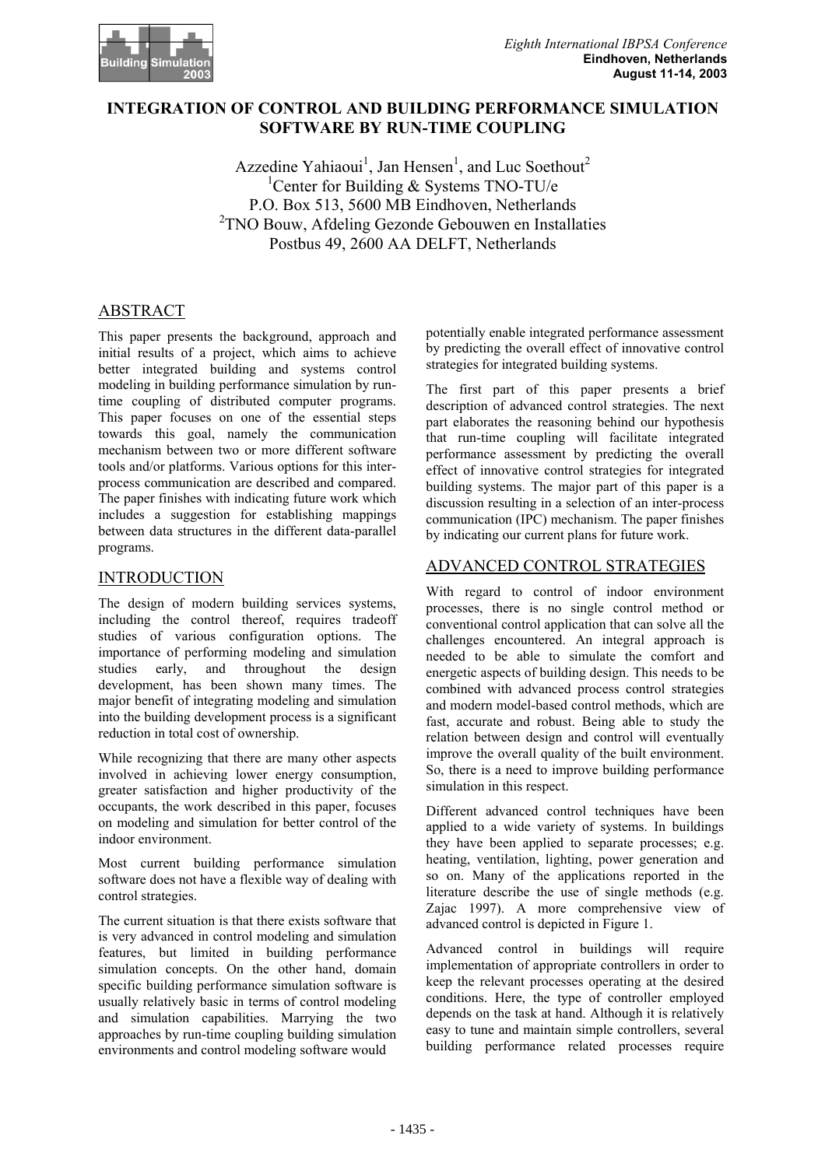

# **INTEGRATION OF CONTROL AND BUILDING PERFORMANCE SIMULATION SOFTWARE BY RUN-TIME COUPLING**

Azzedine Yahiaoui<sup>1</sup>, Jan Hensen<sup>1</sup>, and Luc Soethout<sup>2</sup> <sup>1</sup>Center for Building & Systems TNO-TU/e P.O. Box 513, 5600 MB Eindhoven, Netherlands <sup>2</sup>TNO Bouw, Afdeling Gezonde Gebouwen en Installaties Postbus 49, 2600 AA DELFT, Netherlands

# ABSTRACT

This paper presents the background, approach and initial results of a project, which aims to achieve better integrated building and systems control modeling in building performance simulation by runtime coupling of distributed computer programs. This paper focuses on one of the essential steps towards this goal, namely the communication mechanism between two or more different software tools and/or platforms. Various options for this interprocess communication are described and compared. The paper finishes with indicating future work which includes a suggestion for establishing mappings between data structures in the different data-parallel programs.

# INTRODUCTION

The design of modern building services systems, including the control thereof, requires tradeoff studies of various configuration options. The importance of performing modeling and simulation studies early, and throughout the design development, has been shown many times. The major benefit of integrating modeling and simulation into the building development process is a significant reduction in total cost of ownership.

While recognizing that there are many other aspects involved in achieving lower energy consumption, greater satisfaction and higher productivity of the occupants, the work described in this paper, focuses on modeling and simulation for better control of the indoor environment.

Most current building performance simulation software does not have a flexible way of dealing with control strategies.

The current situation is that there exists software that is very advanced in control modeling and simulation features, but limited in building performance simulation concepts. On the other hand, domain specific building performance simulation software is usually relatively basic in terms of control modeling and simulation capabilities. Marrying the two approaches by run-time coupling building simulation environments and control modeling software would

potentially enable integrated performance assessment by predicting the overall effect of innovative control strategies for integrated building systems.

The first part of this paper presents a brief description of advanced control strategies. The next part elaborates the reasoning behind our hypothesis that run-time coupling will facilitate integrated performance assessment by predicting the overall effect of innovative control strategies for integrated building systems. The major part of this paper is a discussion resulting in a selection of an inter-process communication (IPC) mechanism. The paper finishes by indicating our current plans for future work.

# ADVANCED CONTROL STRATEGIES

With regard to control of indoor environment processes, there is no single control method or conventional control application that can solve all the challenges encountered. An integral approach is needed to be able to simulate the comfort and energetic aspects of building design. This needs to be combined with advanced process control strategies and modern model-based control methods, which are fast, accurate and robust. Being able to study the relation between design and control will eventually improve the overall quality of the built environment. So, there is a need to improve building performance simulation in this respect.

Different advanced control techniques have been applied to a wide variety of systems. In buildings they have been applied to separate processes; e.g. heating, ventilation, lighting, power generation and so on. Many of the applications reported in the literature describe the use of single methods (e.g. Zajac 1997). A more comprehensive view of advanced control is depicted in Figure 1.

Advanced control in buildings will require implementation of appropriate controllers in order to keep the relevant processes operating at the desired conditions. Here, the type of controller employed depends on the task at hand. Although it is relatively easy to tune and maintain simple controllers, several building performance related processes require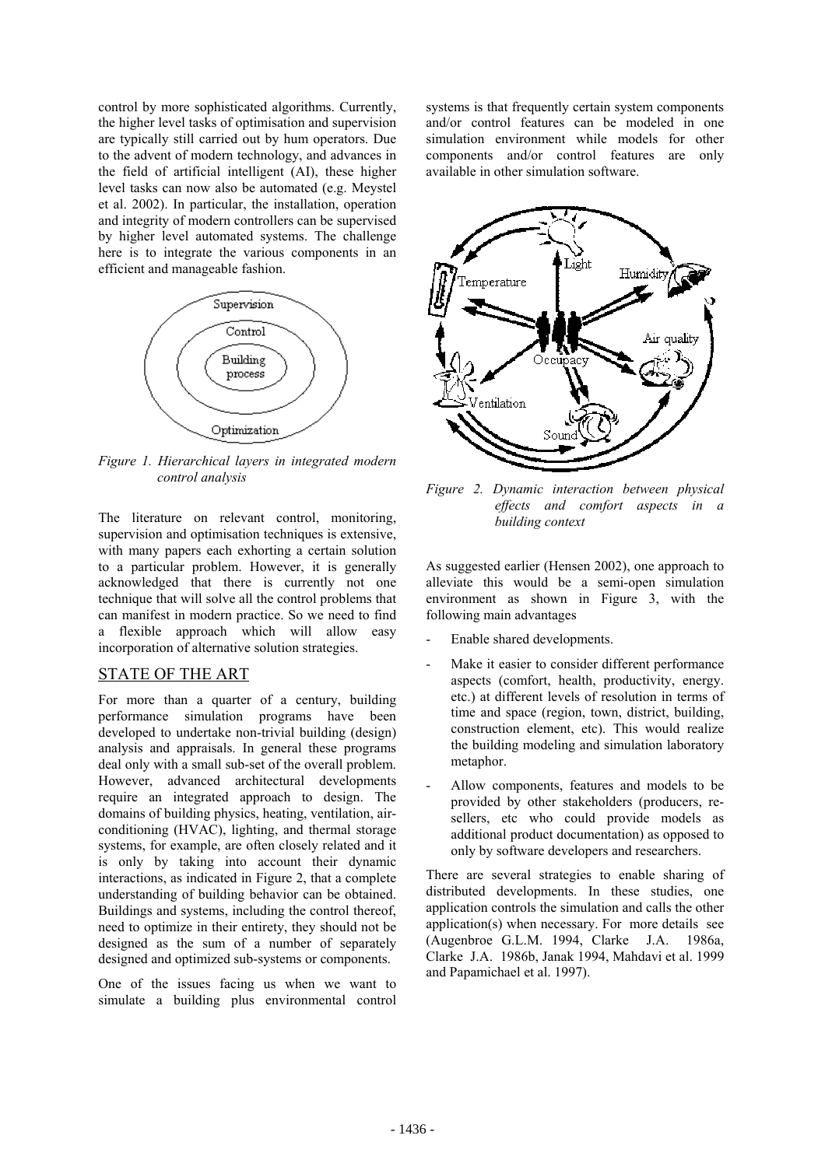control by more sophisticated algorithms. Currently, the higher level tasks of optimisation and supervision are typically still carried out by hum operators. Due to the advent of modern technology, and advances in the field of artificial intelligent (AI), these higher level tasks can now also be automated (e.g. Meystel et al. 2002). In particular, the installation, operation and integrity of modern controllers can be supervised by higher level automated systems. The challenge here is to integrate the various components in an efficient and manageable fashion.



*Figure 1. Hierarchical layers in integrated modern control analysis* 

The literature on relevant control, monitoring, supervision and optimisation techniques is extensive, with many papers each exhorting a certain solution to a particular problem. However, it is generally acknowledged that there is currently not one technique that will solve all the control problems that can manifest in modern practice. So we need to find a flexible approach which will allow easy incorporation of alternative solution strategies.

## STATE OF THE ART

For more than a quarter of a century, building performance simulation programs have been developed to undertake non-trivial building (design) analysis and appraisals. In general these programs deal only with a small sub-set of the overall problem. However, advanced architectural developments require an integrated approach to design. The domains of building physics, heating, ventilation, airconditioning (HVAC), lighting, and thermal storage systems, for example, are often closely related and it is only by taking into account their dynamic interactions, as indicated in Figure 2, that a complete understanding of building behavior can be obtained. Buildings and systems, including the control thereof, need to optimize in their entirety, they should not be designed as the sum of a number of separately designed and optimized sub-systems or components.

One of the issues facing us when we want to simulate a building plus environmental control

systems is that frequently certain system components and/or control features can be modeled in one simulation environment while models for other components and/or control features are only available in other simulation software.



*Figure 2. Dynamic interaction between physical effects and comfort aspects in a building context* 

As suggested earlier (Hensen 2002), one approach to alleviate this would be a semi-open simulation environment as shown in Figure 3, with the following main advantages

- Enable shared developments.
- Make it easier to consider different performance aspects (comfort, health, productivity, energy. etc.) at different levels of resolution in terms of time and space (region, town, district, building, construction element, etc). This would realize the building modeling and simulation laboratory metaphor.
- Allow components, features and models to be provided by other stakeholders (producers, resellers, etc who could provide models as additional product documentation) as opposed to only by software developers and researchers.

There are several strategies to enable sharing of distributed developments. In these studies, one application controls the simulation and calls the other application(s) when necessary. For more details see (Augenbroe G.L.M. 1994, Clarke J.A. 1986a, Clarke J.A. 1986b, Janak 1994, Mahdavi et al. 1999 and Papamichael et al. 1997).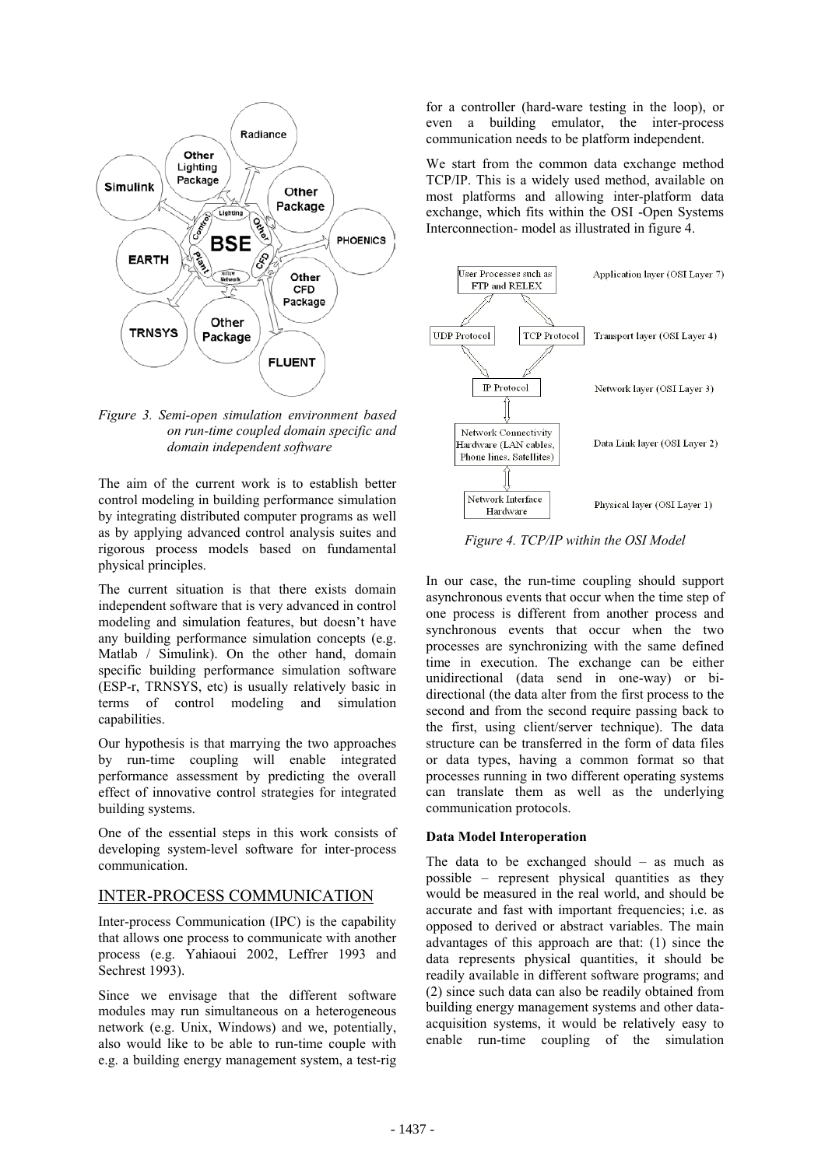

*Figure 3. Semi-open simulation environment based on run-time coupled domain specific and domain independent software* 

The aim of the current work is to establish better control modeling in building performance simulation by integrating distributed computer programs as well as by applying advanced control analysis suites and rigorous process models based on fundamental physical principles.

The current situation is that there exists domain independent software that is very advanced in control modeling and simulation features, but doesn't have any building performance simulation concepts (e.g. Matlab / Simulink). On the other hand, domain specific building performance simulation software (ESP-r, TRNSYS, etc) is usually relatively basic in terms of control modeling and simulation capabilities.

Our hypothesis is that marrying the two approaches by run-time coupling will enable integrated performance assessment by predicting the overall effect of innovative control strategies for integrated building systems.

One of the essential steps in this work consists of developing system-level software for inter-process communication.

### INTER-PROCESS COMMUNICATION

Inter-process Communication (IPC) is the capability that allows one process to communicate with another process (e.g. Yahiaoui 2002, Leffrer 1993 and Sechrest 1993).

Since we envisage that the different software modules may run simultaneous on a heterogeneous network (e.g. Unix, Windows) and we, potentially, also would like to be able to run-time couple with e.g. a building energy management system, a test-rig

for a controller (hard-ware testing in the loop), or even a building emulator, the inter-process communication needs to be platform independent.

We start from the common data exchange method TCP/IP. This is a widely used method, available on most platforms and allowing inter-platform data exchange, which fits within the OSI -Open Systems Interconnection- model as illustrated in figure 4.



*Figure 4. TCP/IP within the OSI Model* 

In our case, the run-time coupling should support asynchronous events that occur when the time step of one process is different from another process and synchronous events that occur when the two processes are synchronizing with the same defined time in execution. The exchange can be either unidirectional (data send in one-way) or bidirectional (the data alter from the first process to the second and from the second require passing back to the first, using client/server technique). The data structure can be transferred in the form of data files or data types, having a common format so that processes running in two different operating systems can translate them as well as the underlying communication protocols.

#### **Data Model Interoperation**

The data to be exchanged should  $-$  as much as possible – represent physical quantities as they would be measured in the real world, and should be accurate and fast with important frequencies; i.e. as opposed to derived or abstract variables. The main advantages of this approach are that: (1) since the data represents physical quantities, it should be readily available in different software programs; and (2) since such data can also be readily obtained from building energy management systems and other dataacquisition systems, it would be relatively easy to enable run-time coupling of the simulation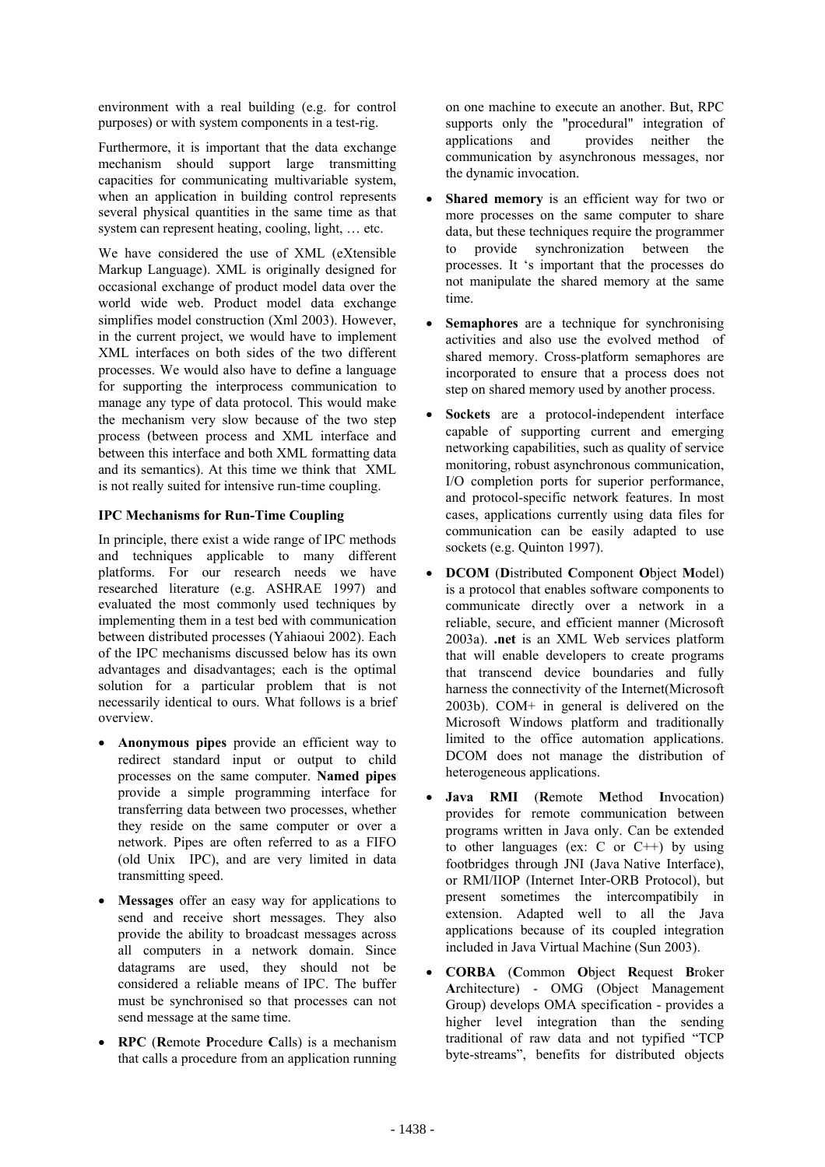environment with a real building (e.g. for control purposes) or with system components in a test-rig.

Furthermore, it is important that the data exchange mechanism should support large transmitting capacities for communicating multivariable system, when an application in building control represents several physical quantities in the same time as that system can represent heating, cooling, light, … etc.

We have considered the use of XML (eXtensible Markup Language). XML is originally designed for occasional exchange of product model data over the world wide web. Product model data exchange simplifies model construction (Xml 2003). However, in the current project, we would have to implement XML interfaces on both sides of the two different processes. We would also have to define a language for supporting the interprocess communication to manage any type of data protocol. This would make the mechanism very slow because of the two step process (between process and XML interface and between this interface and both XML formatting data and its semantics). At this time we think that XML is not really suited for intensive run-time coupling.

## **IPC Mechanisms for Run-Time Coupling**

In principle, there exist a wide range of IPC methods and techniques applicable to many different platforms. For our research needs we have researched literature (e.g. ASHRAE 1997) and evaluated the most commonly used techniques by implementing them in a test bed with communication between distributed processes (Yahiaoui 2002). Each of the IPC mechanisms discussed below has its own advantages and disadvantages; each is the optimal solution for a particular problem that is not necessarily identical to ours. What follows is a brief overview.

- **Anonymous pipes** provide an efficient way to redirect standard input or output to child processes on the same computer. **Named pipes**  provide a simple programming interface for transferring data between two processes, whether they reside on the same computer or over a network. Pipes are often referred to as a FIFO (old Unix IPC), and are very limited in data transmitting speed.
- **Messages** offer an easy way for applications to send and receive short messages. They also provide the ability to broadcast messages across all computers in a network domain. Since datagrams are used, they should not be considered a reliable means of IPC. The buffer must be synchronised so that processes can not send message at the same time.
- **RPC** (**R**emote **P**rocedure **C**alls) is a mechanism that calls a procedure from an application running

on one machine to execute an another. But, RPC supports only the "procedural" integration of applications and provides neither the communication by asynchronous messages, nor the dynamic invocation.

- **Shared memory** is an efficient way for two or more processes on the same computer to share data, but these techniques require the programmer to provide synchronization between the processes. It 's important that the processes do not manipulate the shared memory at the same time.
- **Semaphores** are a technique for synchronising activities and also use the evolved method of shared memory. Cross-platform semaphores are incorporated to ensure that a process does not step on shared memory used by another process.
- **Sockets** are a protocol-independent interface capable of supporting current and emerging networking capabilities, such as quality of service monitoring, robust asynchronous communication, I/O completion ports for superior performance, and protocol-specific network features. In most cases, applications currently using data files for communication can be easily adapted to use sockets (e.g. Quinton 1997).
- **DCOM** (**D**istributed **C**omponent **O**bject **M**odel) is a protocol that enables software components to communicate directly over a network in a reliable, secure, and efficient manner (Microsoft 2003a). **.net** is an XML Web services platform that will enable developers to create programs that transcend device boundaries and fully harness the connectivity of the Internet(Microsoft 2003b). COM+ in general is delivered on the Microsoft Windows platform and traditionally limited to the office automation applications. DCOM does not manage the distribution of heterogeneous applications.
- **Java RMI** (**R**emote **M**ethod **I**nvocation) provides for remote communication between programs written in Java only. Can be extended to other languages (ex:  $C$  or  $C^{++}$ ) by using footbridges through JNI (Java Native Interface), or RMI/IIOP (Internet Inter-ORB Protocol), but present sometimes the intercompatibily in extension. Adapted well to all the Java applications because of its coupled integration included in Java Virtual Machine (Sun 2003).
- **CORBA** (**C**ommon **O**bject **R**equest **B**roker **A**rchitecture) - OMG (Object Management Group) develops OMA specification - provides a higher level integration than the sending traditional of raw data and not typified "TCP byte-streams", benefits for distributed objects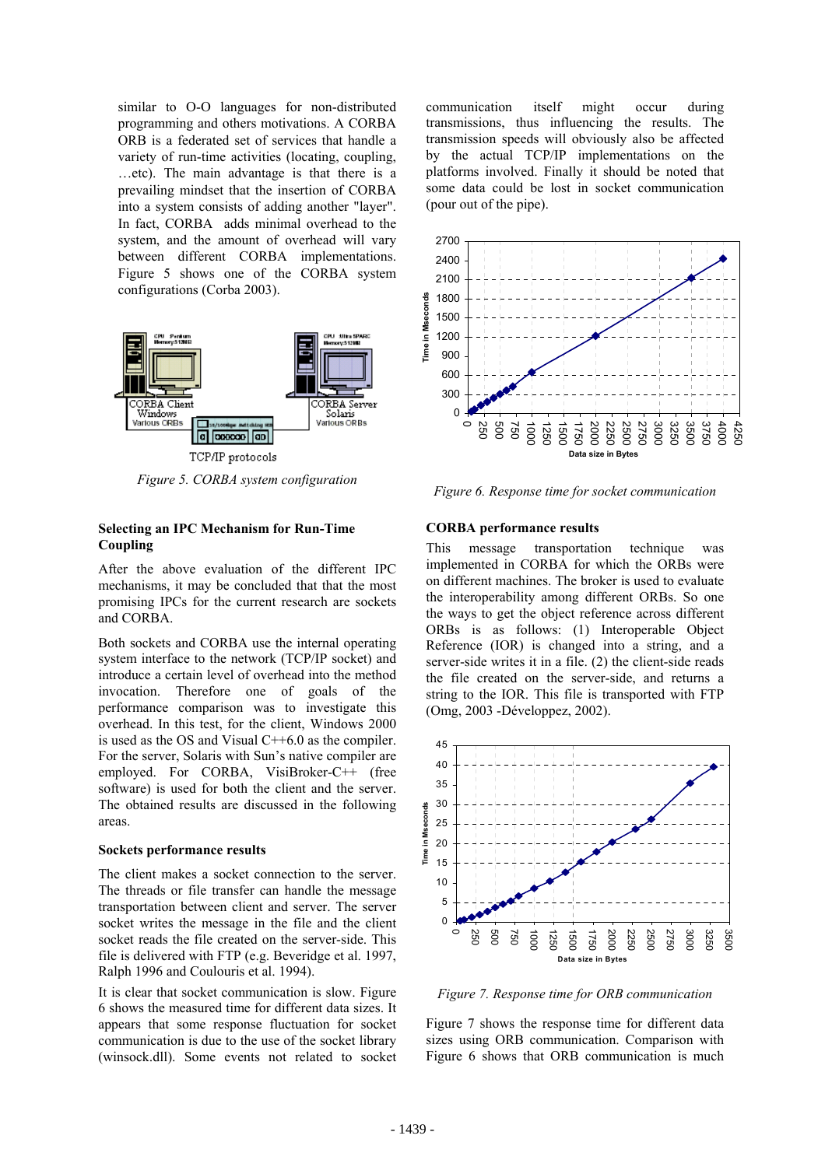similar to O-O languages for non-distributed programming and others motivations. A CORBA ORB is a federated set of services that handle a variety of run-time activities (locating, coupling, …etc). The main advantage is that there is a prevailing mindset that the insertion of CORBA into a system consists of adding another "layer". In fact, CORBA adds minimal overhead to the system, and the amount of overhead will vary between different CORBA implementations. Figure 5 shows one of the CORBA system configurations (Corba 2003).



*Figure 5. CORBA system configuration* 

#### **Selecting an IPC Mechanism for Run-Time Coupling**

After the above evaluation of the different IPC mechanisms, it may be concluded that that the most promising IPCs for the current research are sockets and CORBA.

Both sockets and CORBA use the internal operating system interface to the network (TCP/IP socket) and introduce a certain level of overhead into the method invocation. Therefore one of goals of the performance comparison was to investigate this overhead. In this test, for the client, Windows 2000 is used as the OS and Visual C++6.0 as the compiler. For the server, Solaris with Sun's native compiler are employed. For CORBA, VisiBroker-C++ (free software) is used for both the client and the server. The obtained results are discussed in the following areas.

#### **Sockets performance results**

The client makes a socket connection to the server. The threads or file transfer can handle the message transportation between client and server. The server socket writes the message in the file and the client socket reads the file created on the server-side. This file is delivered with FTP (e.g. Beveridge et al. 1997, Ralph 1996 and Coulouris et al. 1994).

It is clear that socket communication is slow. Figure 6 shows the measured time for different data sizes. It appears that some response fluctuation for socket communication is due to the use of the socket library (winsock.dll). Some events not related to socket communication itself might occur during transmissions, thus influencing the results. The transmission speeds will obviously also be affected by the actual TCP/IP implementations on the platforms involved. Finally it should be noted that some data could be lost in socket communication (pour out of the pipe).



*Figure 6. Response time for socket communication* 

#### **CORBA performance results**

This message transportation technique was implemented in CORBA for which the ORBs were on different machines. The broker is used to evaluate the interoperability among different ORBs. So one the ways to get the object reference across different ORBs is as follows: (1) Interoperable Object Reference (IOR) is changed into a string, and a server-side writes it in a file. (2) the client-side reads the file created on the server-side, and returns a string to the IOR. This file is transported with FTP (Omg, 2003 -Développez, 2002).



*Figure 7. Response time for ORB communication* 

Figure 7 shows the response time for different data sizes using ORB communication. Comparison with Figure 6 shows that ORB communication is much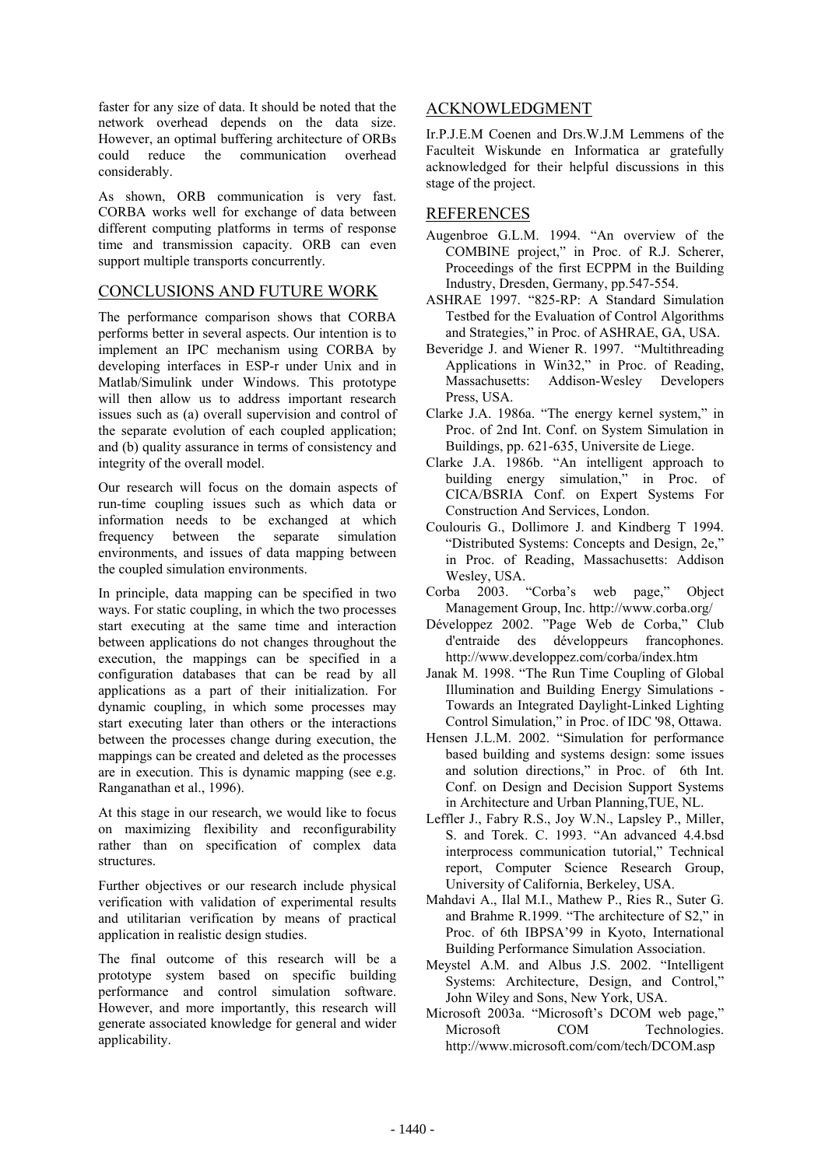faster for any size of data. It should be noted that the network overhead depends on the data size. However, an optimal buffering architecture of ORBs could reduce the communication overhead considerably.

As shown, ORB communication is very fast. CORBA works well for exchange of data between different computing platforms in terms of response time and transmission capacity. ORB can even support multiple transports concurrently.

# CONCLUSIONS AND FUTURE WORK

The performance comparison shows that CORBA performs better in several aspects. Our intention is to implement an IPC mechanism using CORBA by developing interfaces in ESP-r under Unix and in Matlab/Simulink under Windows. This prototype will then allow us to address important research issues such as (a) overall supervision and control of the separate evolution of each coupled application; and (b) quality assurance in terms of consistency and integrity of the overall model.

Our research will focus on the domain aspects of run-time coupling issues such as which data or information needs to be exchanged at which frequency between the separate simulation environments, and issues of data mapping between the coupled simulation environments.

In principle, data mapping can be specified in two ways. For static coupling, in which the two processes start executing at the same time and interaction between applications do not changes throughout the execution, the mappings can be specified in a configuration databases that can be read by all applications as a part of their initialization. For dynamic coupling, in which some processes may start executing later than others or the interactions between the processes change during execution, the mappings can be created and deleted as the processes are in execution. This is dynamic mapping (see e.g. Ranganathan et al., 1996).

At this stage in our research, we would like to focus on maximizing flexibility and reconfigurability rather than on specification of complex data structures.

Further objectives or our research include physical verification with validation of experimental results and utilitarian verification by means of practical application in realistic design studies.

The final outcome of this research will be a prototype system based on specific building performance and control simulation software. However, and more importantly, this research will generate associated knowledge for general and wider applicability.

## ACKNOWLEDGMENT

Ir.P.J.E.M Coenen and Drs.W.J.M Lemmens of the Faculteit Wiskunde en Informatica ar gratefully acknowledged for their helpful discussions in this stage of the project.

## REFERENCES

- Augenbroe G.L.M. 1994. "An overview of the COMBINE project," in Proc. of R.J. Scherer, Proceedings of the first ECPPM in the Building Industry, Dresden, Germany, pp.547-554.
- ASHRAE 1997. "825-RP: A Standard Simulation Testbed for the Evaluation of Control Algorithms and Strategies," in Proc. of ASHRAE, GA, USA.
- Beveridge J. and Wiener R. 1997. "Multithreading Applications in Win32," in Proc. of Reading, Massachusetts: Addison-Wesley Developers Press, USA.
- Clarke J.A. 1986a. "The energy kernel system," in Proc. of 2nd Int. Conf. on System Simulation in Buildings, pp. 621-635, Universite de Liege.
- Clarke J.A. 1986b. "An intelligent approach to building energy simulation," in Proc. of CICA/BSRIA Conf. on Expert Systems For Construction And Services, London.
- Coulouris G., Dollimore J. and Kindberg T 1994. "Distributed Systems: Concepts and Design, 2e," in Proc. of Reading, Massachusetts: Addison Wesley, USA.
- Corba 2003. "Corba's web page," Object Management Group, Inc. http://www.corba.org/
- Développez 2002. "Page Web de Corba," Club d'entraide des développeurs francophones. http://www.developpez.com/corba/index.htm
- Janak M. 1998. "The Run Time Coupling of Global Illumination and Building Energy Simulations - Towards an Integrated Daylight-Linked Lighting Control Simulation," in Proc. of IDC '98, Ottawa.
- Hensen J.L.M. 2002. "Simulation for performance based building and systems design: some issues and solution directions," in Proc. of 6th Int. Conf. on Design and Decision Support Systems in Architecture and Urban Planning,TUE, NL.
- Leffler J., Fabry R.S., Joy W.N., Lapsley P., Miller, S. and Torek. C. 1993. "An advanced 4.4.bsd interprocess communication tutorial," Technical report, Computer Science Research Group, University of California, Berkeley, USA.
- Mahdavi A., Ilal M.I., Mathew P., Ries R., Suter G. and Brahme R.1999. "The architecture of S2," in Proc. of 6th IBPSA'99 in Kyoto, International Building Performance Simulation Association.
- Meystel A.M. and Albus J.S. 2002. "Intelligent Systems: Architecture, Design, and Control," John Wiley and Sons, New York, USA.
- Microsoft 2003a. "Microsoft's DCOM web page," Microsoft COM Technologies. http://www.microsoft.com/com/tech/DCOM.asp